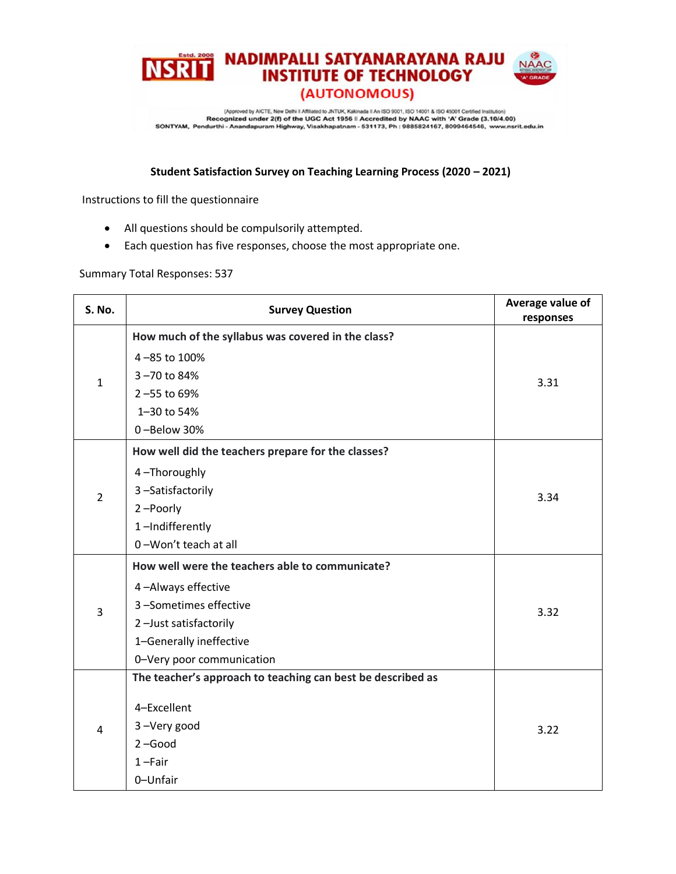

(Approved by AICTE, New Delhi Il Affiliated to JNTUK, Kakinada II An ISO 9001, ISO 14001 & ISO 45001 Certified Institution) Recognized under 2(f) of the UGC Act 1956 il Accredited by NAAC with 'A' Grade (3.10/4.00)<br>SONTYAM, Pendurthi - Anandapuram Highway, Visakhapatnam - 531173, Ph : 9885824167, 8099464546, www.nsrit.edu.in

## **Student Satisfaction Survey on Teaching Learning Process (2020 – 2021)**

Instructions to fill the questionnaire

- All questions should be compulsorily attempted.
- Each question has five responses, choose the most appropriate one.

## Summary Total Responses: 537

| S. No.         | <b>Survey Question</b>                                      | Average value of<br>responses |
|----------------|-------------------------------------------------------------|-------------------------------|
| $\mathbf{1}$   | How much of the syllabus was covered in the class?          |                               |
|                | 4-85 to 100%                                                |                               |
|                | 3-70 to 84%                                                 | 3.31                          |
|                | 2-55 to 69%                                                 |                               |
|                | 1-30 to 54%                                                 |                               |
|                | 0-Below 30%                                                 |                               |
| $\overline{2}$ | How well did the teachers prepare for the classes?          |                               |
|                | 4-Thoroughly                                                |                               |
|                | 3-Satisfactorily                                            | 3.34                          |
|                | 2-Poorly                                                    |                               |
|                | 1-Indifferently                                             |                               |
|                | 0-Won't teach at all                                        |                               |
|                | How well were the teachers able to communicate?             |                               |
|                | 4-Always effective                                          |                               |
| 3              | 3-Sometimes effective                                       | 3.32                          |
|                | 2-Just satisfactorily                                       |                               |
|                | 1-Generally ineffective                                     |                               |
|                | 0-Very poor communication                                   |                               |
| 4              | The teacher's approach to teaching can best be described as |                               |
|                | 4-Excellent                                                 |                               |
|                | 3-Very good                                                 | 3.22                          |
|                | $2 - Good$                                                  |                               |
|                | $1 - Fair$                                                  |                               |
|                | 0-Unfair                                                    |                               |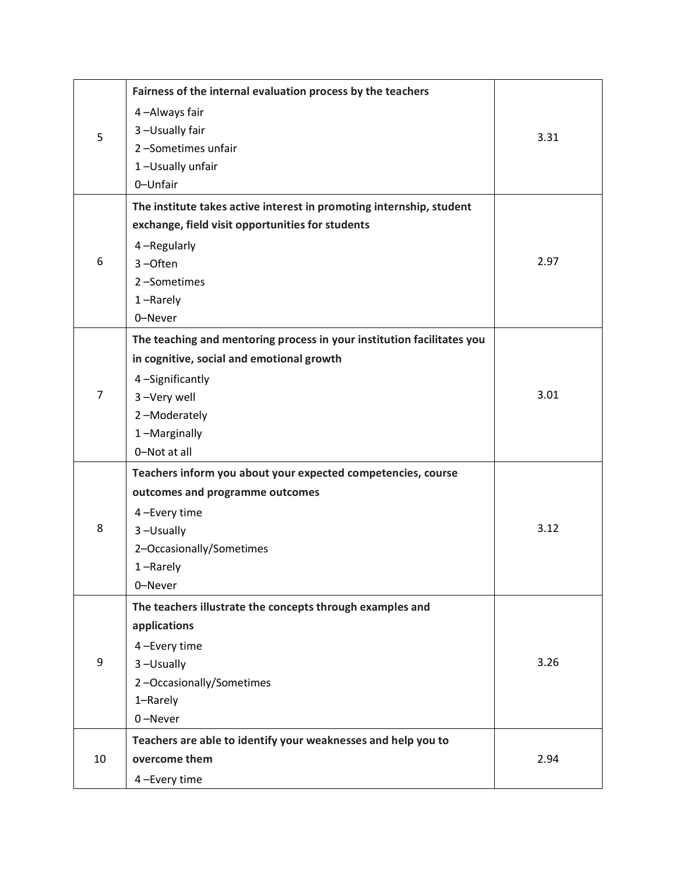| 5              | Fairness of the internal evaluation process by the teachers            |      |
|----------------|------------------------------------------------------------------------|------|
|                | 4-Always fair                                                          |      |
|                | 3-Usually fair                                                         | 3.31 |
|                | 2-Sometimes unfair                                                     |      |
|                | 1-Usually unfair                                                       |      |
|                | 0-Unfair                                                               |      |
|                | The institute takes active interest in promoting internship, student   |      |
|                | exchange, field visit opportunities for students                       |      |
|                | 4-Regularly                                                            |      |
| 6              | $3 -$ Often                                                            | 2.97 |
|                | 2-Sometimes                                                            |      |
|                | 1-Rarely                                                               |      |
|                | 0-Never                                                                |      |
|                | The teaching and mentoring process in your institution facilitates you |      |
|                | in cognitive, social and emotional growth                              |      |
|                | 4-Significantly                                                        |      |
| $\overline{7}$ | 3-Very well                                                            | 3.01 |
|                | 2-Moderately                                                           |      |
|                | 1-Marginally                                                           |      |
|                | 0-Not at all                                                           |      |
|                | Teachers inform you about your expected competencies, course           |      |
|                | outcomes and programme outcomes                                        |      |
|                | 4-Every time                                                           |      |
| 8              | 3-Usually                                                              | 3.12 |
|                | 2-Occasionally/Sometimes                                               |      |
|                | 1-Rarely                                                               |      |
|                | 0-Never                                                                |      |
|                | The teachers illustrate the concepts through examples and              |      |
|                | applications                                                           |      |
|                | 4-Every time                                                           |      |
| 9              | 3-Usually                                                              | 3.26 |
|                | 2-Occasionally/Sometimes                                               |      |
|                | 1-Rarely                                                               |      |
|                | 0-Never                                                                |      |
| 10             | Teachers are able to identify your weaknesses and help you to          |      |
|                | overcome them                                                          | 2.94 |
|                | 4-Every time                                                           |      |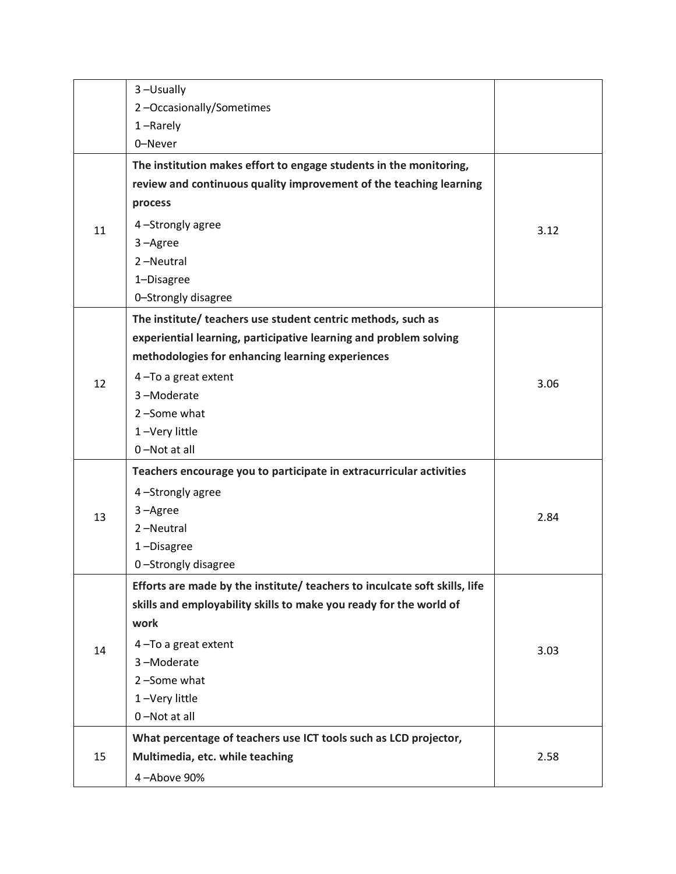|    | 3-Usually                                                                  |      |
|----|----------------------------------------------------------------------------|------|
|    | 2-Occasionally/Sometimes                                                   |      |
|    | $1 -$ Rarely                                                               |      |
|    | 0-Never                                                                    |      |
|    | The institution makes effort to engage students in the monitoring,         |      |
| 11 | review and continuous quality improvement of the teaching learning         |      |
|    | process                                                                    |      |
|    | 4-Strongly agree                                                           | 3.12 |
|    | 3-Agree                                                                    |      |
|    | 2-Neutral                                                                  |      |
|    | 1-Disagree                                                                 |      |
|    | 0-Strongly disagree                                                        |      |
|    | The institute/ teachers use student centric methods, such as               |      |
|    | experiential learning, participative learning and problem solving          |      |
|    | methodologies for enhancing learning experiences                           |      |
| 12 | 4-To a great extent                                                        | 3.06 |
|    | 3-Moderate                                                                 |      |
|    | 2-Some what                                                                |      |
|    | 1-Very little                                                              |      |
|    | 0-Not at all                                                               |      |
|    | Teachers encourage you to participate in extracurricular activities        |      |
|    | 4-Strongly agree                                                           |      |
| 13 | 3-Agree                                                                    | 2.84 |
|    | 2-Neutral                                                                  |      |
|    | 1-Disagree                                                                 |      |
|    | 0-Strongly disagree                                                        |      |
|    | Efforts are made by the institute/ teachers to inculcate soft skills, life |      |
|    | skills and employability skills to make you ready for the world of         |      |
|    | work                                                                       |      |
| 14 | 4-To a great extent                                                        | 3.03 |
|    | 3-Moderate                                                                 |      |
|    | 2-Some what                                                                |      |
|    | 1-Very little                                                              |      |
|    | 0-Not at all                                                               |      |
|    | What percentage of teachers use ICT tools such as LCD projector,           |      |
| 15 | Multimedia, etc. while teaching                                            | 2.58 |
|    | 4-Above 90%                                                                |      |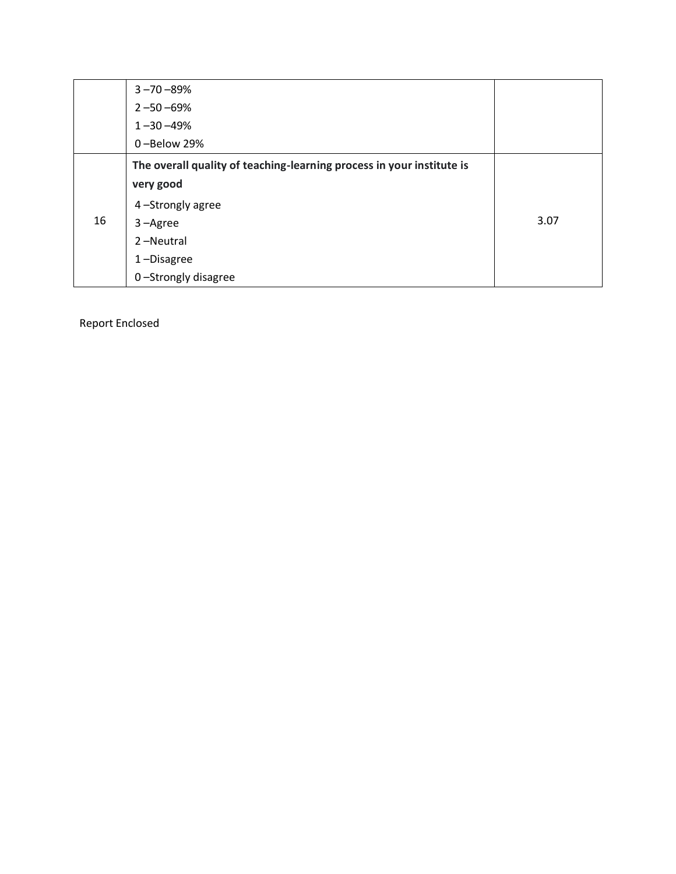|    | $3 - 70 - 89%$                                                        |      |
|----|-----------------------------------------------------------------------|------|
|    | $2 - 50 - 69%$                                                        |      |
|    | $1 - 30 - 49%$                                                        |      |
|    | 0-Below 29%                                                           |      |
|    | The overall quality of teaching-learning process in your institute is |      |
|    | very good                                                             |      |
|    | 4-Strongly agree                                                      |      |
| 16 | $3 - \text{Agree}$                                                    | 3.07 |
|    | 2-Neutral                                                             |      |
|    | 1-Disagree                                                            |      |
|    | 0-Strongly disagree                                                   |      |

Report Enclosed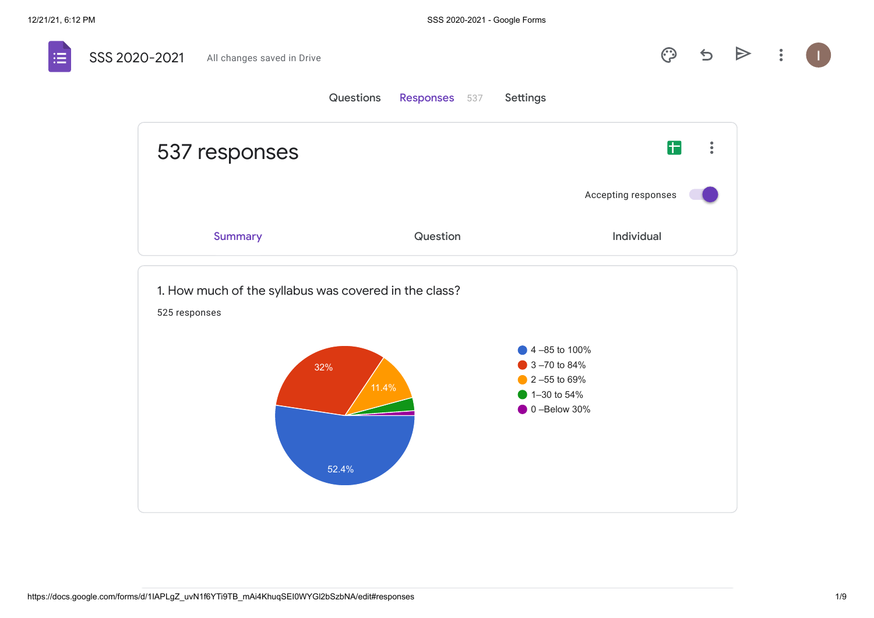$\mathbf{H}$ 

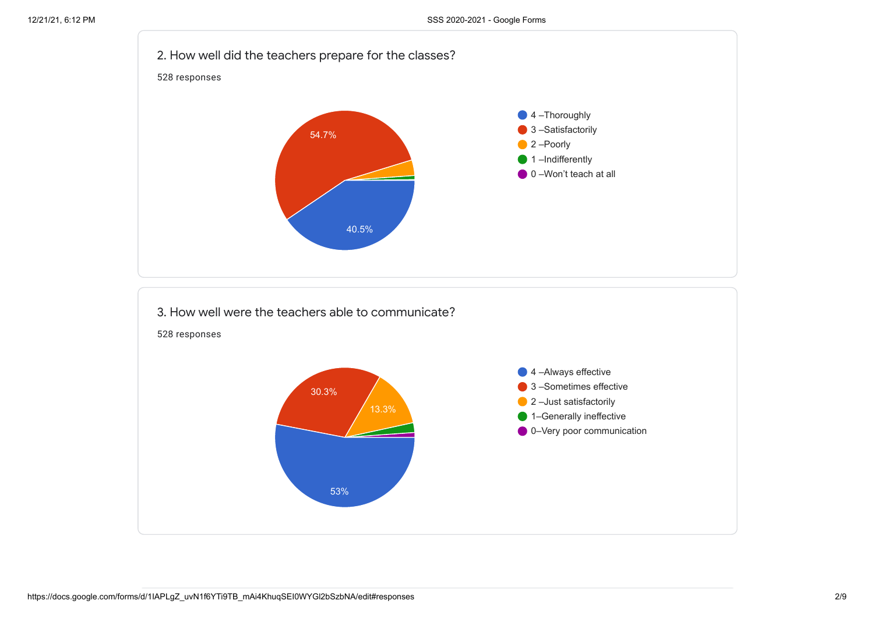

53%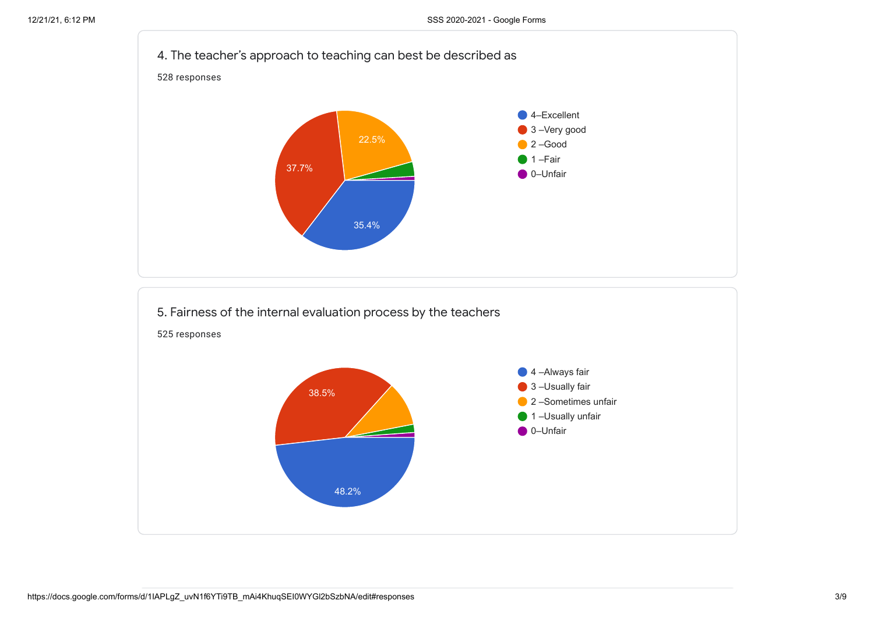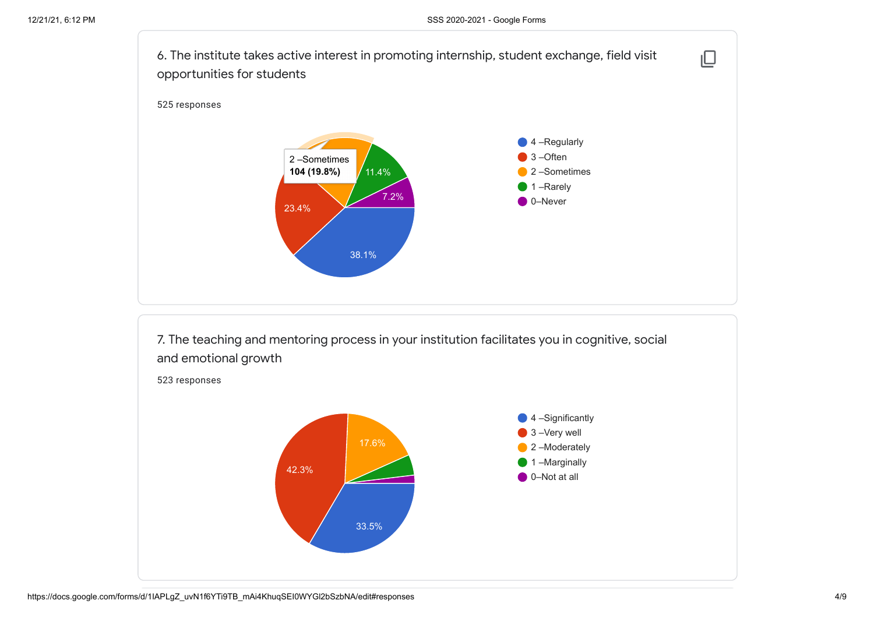

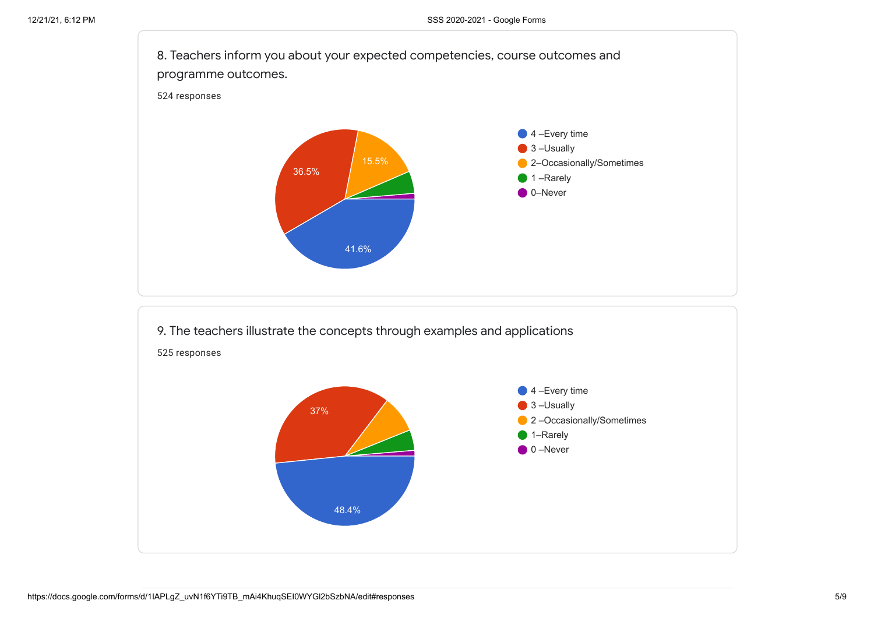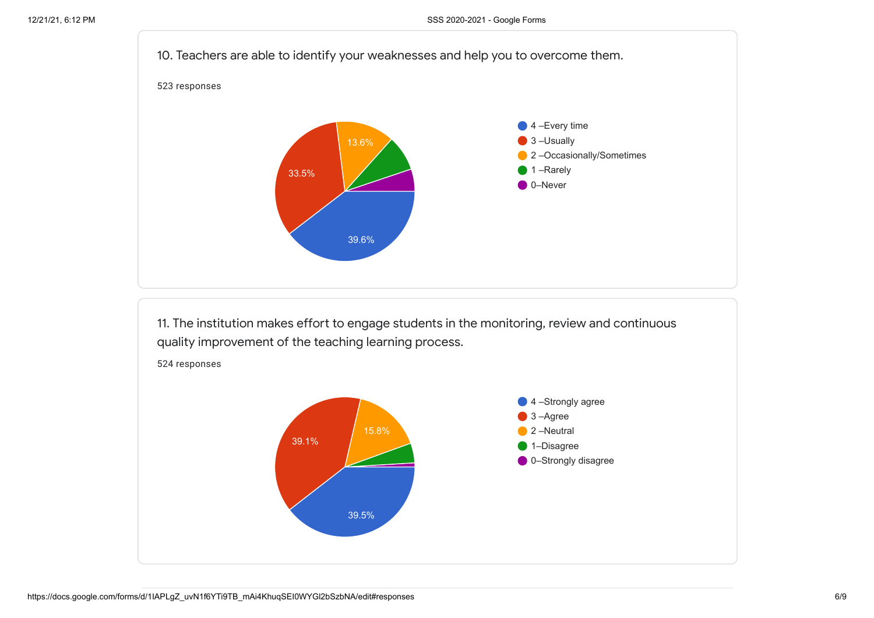

11. The institution makes effort to engage students in the monitoring, review and continuous quality improvement of the teaching learning process.



524 responses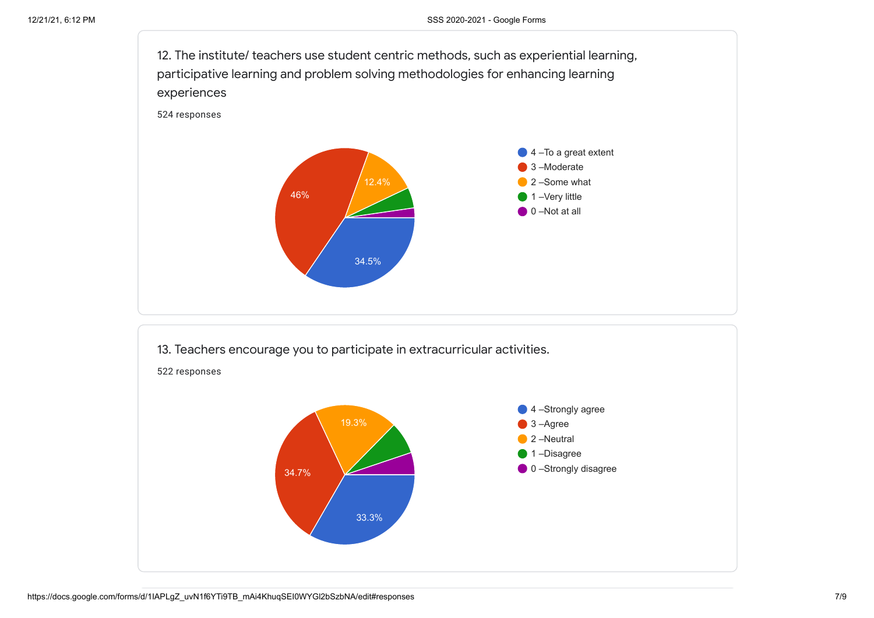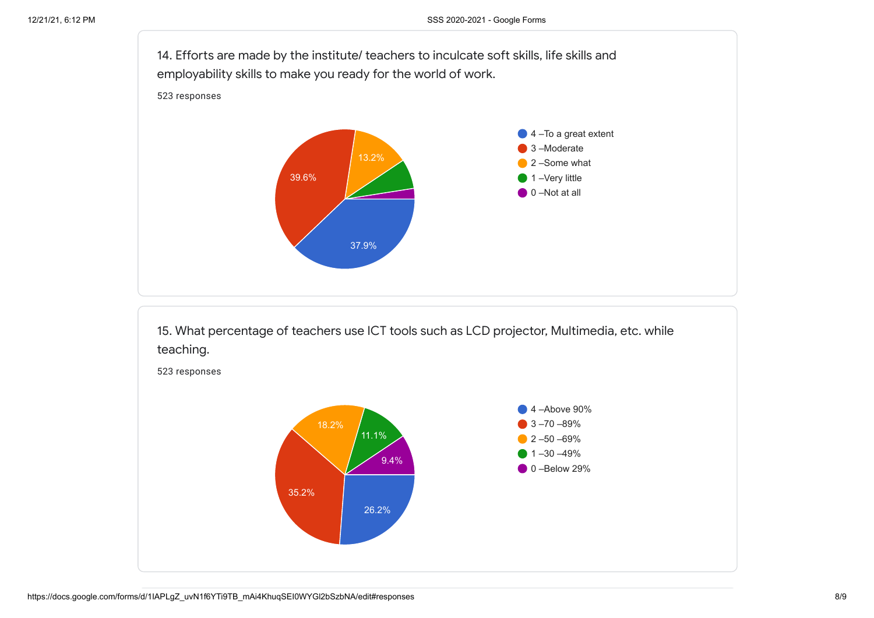